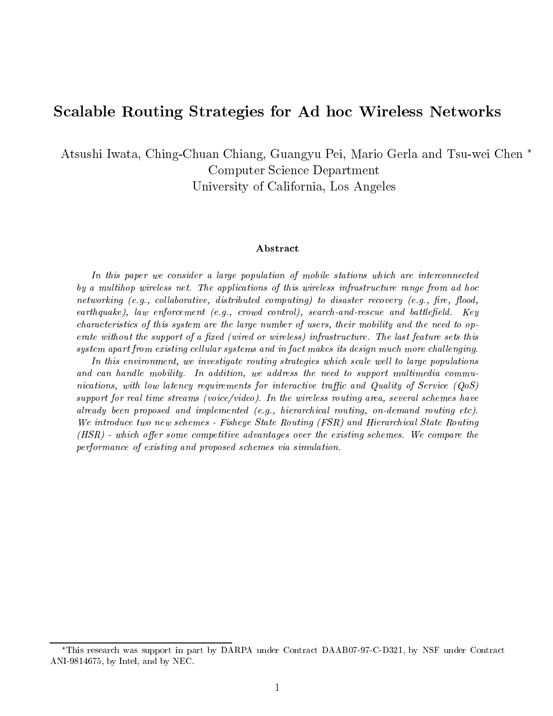# Scalable Routing Strategies for Ad hoc Wireless Networks

Atsushi Iwata, Ching-Chuan Chiang, Guangyu Pei, Mario Gerla and Tsu-wei Chen \* Computer Science Department University of California, Los Angeles

## Abstract

In this paper we consider a large population of mobile stations which are interconnected by a multihop wireless net. The applications of this wireless infrastructure range from ad hoc networking  $(e.g.,\ collaborative,\ distributed\ computing)$  to disaster recovery  $(e.g.,\text{ fire},\text{ flood},$  $earthquake)$ , law enforcement (e.g., crowd control), search-and-rescue and battlefield. Key characteristics of this system are the large number of users, their mobility and the need to operate without the support of a fixed (wired or wireless) infrastructure. The last feature sets this system apart from existing cellular systems and in fact makes its design much more challenging.

In this environment, we investigate routing strategies which scale well to large populations and can handle mobility. In addition, we address the need to support multimedia communications, with low latency requirements for interactive traffic and Quality of Service  $(QoS)$ support for real time streams (voice/video). In the wireless routing area, several schemes have already been proposed and implemented (e.g., hierarchical routing, on-demand routing etc). We introduce two new schemes - Fisheye State Routing (FSR) and Hierarchical State Routing (HSR) - which offer some competitive advantages over the existing schemes. We compare the performance of existing and proposed schemes via simulation.

This research was support in part by DARPA under Contract DAAB07-97-C-D321, by NSF under Contract ANI-9814675, by Intel, and by NEC.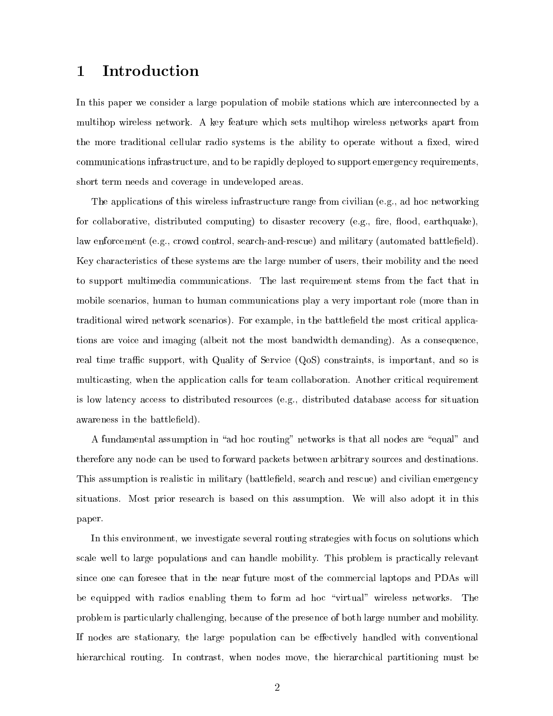### **Introduction** 1

In this paper we consider a large population of mobile stations which are interconnected by a multihop wireless network. A key feature which sets multihop wireless networks apart from the more traditional cellular radio systems is the ability to operate without a fixed, wired communications infrastructure, and to be rapidly deployed to support emergency requirements, short term needs and coverage in undeveloped areas.

The applications of this wireless infrastructure range from civilian (e.g., ad hoc networking for collaborative, distributed computing) to disaster recovery (e.g., fire, flood, earthquake), law enforcement (e.g., crowd control, search-and-rescue) and military (automated battlefield). Key characteristics of these systems are the large number of users, their mobility and the need to support multimedia communications. The last requirement stems from the fact that in mobile scenarios, human to human communications play a very important role (more than in traditional wired network scenarios). For example, in the battlefield the most critical applications are voice and imaging (albeit not the most bandwidth demanding). As a consequence, real time traffic support, with Quality of Service  $(Q_0S)$  constraints, is important, and so is multicasting, when the application calls for team collaboration. Another critical requirement is low latency access to distributed resources (e.g., distributed database access for situation awareness in the battlefield).

A fundamental assumption in "ad hoc routing" networks is that all nodes are "equal" and therefore any node can be used to forward packets between arbitrary sources and destinations. This assumption is realistic in military (battlefield, search and rescue) and civilian emergency situations. Most prior research is based on this assumption. We will also adopt it in this paper.

In this environment, we investigate several routing strategies with focus on solutions which scale well to large populations and can handle mobility. This problem is practically relevant since one can foresee that in the near future most of the commercial laptops and PDAs will be equipped with radios enabling them to form ad hoc \virtual" wireless networks. The problem is particularly challenging, because of the presence of both large number and mobility. If nodes are stationary, the large population can be effectively handled with conventional hierarchical routing. In contrast, when nodes move, the hierarchical partitioning must be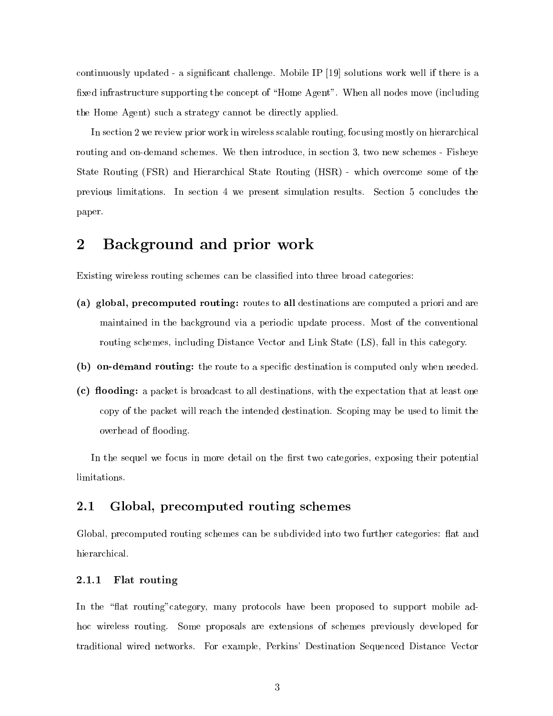continuously updated - a signicant challenge. Mobile IP [19] solutions work well if there is a fixed infrastructure supporting the concept of "Home Agent". When all nodes move (including the Home Agent) such a strategy cannot be directly applied.

In section 2 we review prior work in wireless scalable routing, focusing mostly on hierarchical routing and on-demand schemes. We then introduce, in section 3, two new schemes - Fisheye State Routing (FSR) and Hierarchical State Routing (HSR) - which overcome some of the previous limitations. In section 4 we present simulation results. Section 5 concludes the paper.

### $\overline{2}$ Background and prior work

Existing wireless routing schemes can be classied into three broad categories:

- (a) global, precomputed routing: routes to all destinations are computed a priori and are maintained in the background via a periodic update process. Most of the conventional routing schemes, including Distance Vector and Link State (LS), fall in this category.
- (b) on-demand routing: the route to a specic destination is computed only when needed.
- (c) flooding: a packet is broadcast to all destinations, with the expectation that at least one copy of the packet will reach the intended destination. Scoping may be used to limit the overhead of flooding.

In the sequel we focus in more detail on the first two categories, exposing their potential

#### 2.1 Global, precomputed routing schemes

Global, precomputed routing schemes can be subdivided into two further categories: flat and hierarchical.

#### 2.1.1Flat routing

In the "flat routing" category, many protocols have been proposed to support mobile adhoc wireless routing. Some proposals are extensions of schemes previously developed for traditional wired networks. For example, Perkins' Destination Sequenced Distance Vector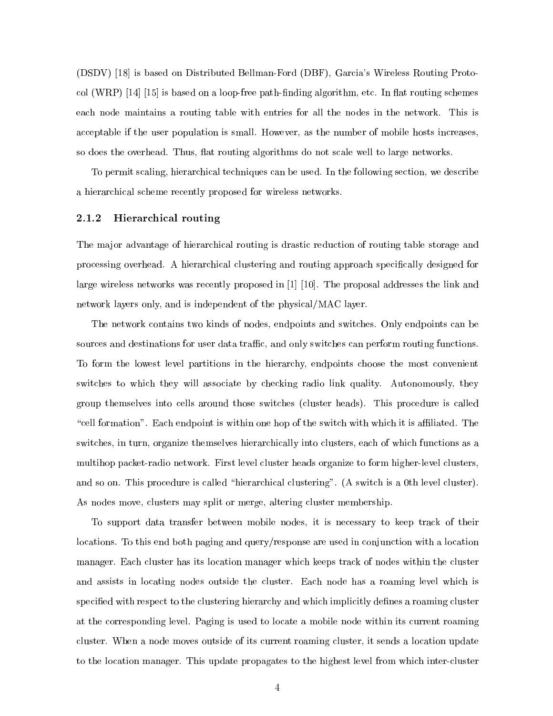(DSDV) [18] is based on Distributed Bellman-Ford (DBF), Garcia's Wireless Routing Protocol (WRP)  $[14]$  [15] is based on a loop-free path-finding algorithm, etc. In flat routing schemes each node maintains a routing table with entries for all the nodes in the network. This is acceptable if the user population is small. However, as the number of mobile hosts increases, so does the overhead. Thus, flat routing algorithms do not scale well to large networks.

To permit scaling, hierarchical techniques can be used. In the following section, we describe a hierarchical scheme recently proposed for wireless networks.

#### 2.1.2Hierarchical routing

The major advantage of hierarchical routing is drastic reduction of routing table storage and processing overhead. A hierarchical clustering and routing approach specically designed for large wireless networks was recently proposed in [1] [10]. The proposal addresses the link and network layers only, and is independent of the physical/MAC layer.

The network contains two kinds of nodes, endpoints and switches. Only endpoints can be sources and destinations for user data traffic, and only switches can perform routing functions. To form the lowest level partitions in the hierarchy, endpoints choose the most convenient switches to which they will associate by checking radio link quality. Autonomously, they group themselves into cells around those switches (cluster heads). This procedure is called "cell formation". Each endpoint is within one hop of the switch with which it is affiliated. The switches, in turn, organize themselves hierarchically into clusters, each of which functions as a multihop packet-radio network. First level cluster heads organize to form higher-level clusters, and so on. This procedure is called "hierarchical clustering". (A switch is a 0th level cluster). As nodes move, clusters may split or merge, altering cluster membership.

To support data transfer between mobile nodes, it is necessary to keep track of their locations. To this end both paging and query/response are used in conjunction with a location manager. Each cluster has its location manager which keeps track of nodes within the cluster and assists in locating nodes outside the cluster. Each node has a roaming level which is specified with respect to the clustering hierarchy and which implicitly defines a roaming cluster at the corresponding level. Paging is used to locate a mobile node within its current roaming cluster. When a node moves outside of its current roaming cluster, it sends a location update to the location manager. This update propagates to the highest level from which inter-cluster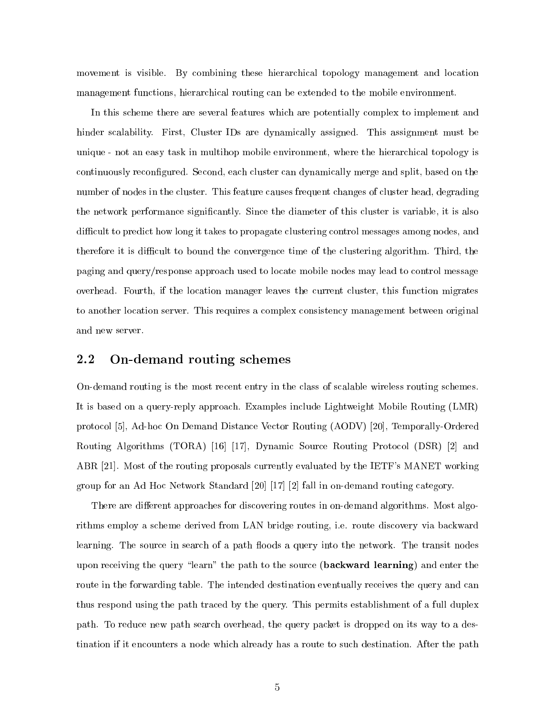movement is visible. By combining these hierarchical topology management and location management functions, hierarchical routing can be extended to the mobile environment.

In this scheme there are several features which are potentially complex to implement and hinder scalability. First, Cluster IDs are dynamically assigned. This assignment must be unique - not an easy task in multihop mobile environment, where the hierarchical topology is continuously recongured. Second, each cluster can dynamically merge and split, based on the number of nodes in the cluster. This feature causes frequent changes of cluster head, degrading the network performance signicantly. Since the diameter of this cluster is variable, it is also difficult to predict how long it takes to propagate clustering control messages among nodes, and therefore it is difficult to bound the convergence time of the clustering algorithm. Third, the paging and query/response approach used to locate mobile nodes may lead to control message overhead. Fourth, if the location manager leaves the current cluster, this function migrates to another location server. This requires a complex consistency management between original and new server.

#### $2.2$ On-demand routing schemes

On-demand routing is the most recent entry in the class of scalable wireless routing schemes. It is based on a query-reply approach. Examples include Lightweight Mobile Routing (LMR) protocol [5], Ad-hoc On Demand Distance Vector Routing (AODV) [20], Temporally-Ordered Routing Algorithms (TORA) [16] [17], Dynamic Source Routing Protocol (DSR) [2] and ABR [21]. Most of the routing proposals currently evaluated by the IETF's MANET working group for an Ad Hoc Network Standard [20] [17] [2] fall in on-demand routing category.

There are different approaches for discovering routes in on-demand algorithms. Most algorithms employ a scheme derived from LAN bridge routing, i.e. route discovery via backward learning. The source in search of a path floods a query into the network. The transit nodes upon receiving the query "learn" the path to the source (**backward learning**) and enter the route in the forwarding table. The intended destination eventually receives the query and can thus respond using the path traced by the query. This permits establishment of a full duplex path. To reduce new path search overhead, the query packet is dropped on its way to a destination if it encounters a node which already has a route to such destination. After the path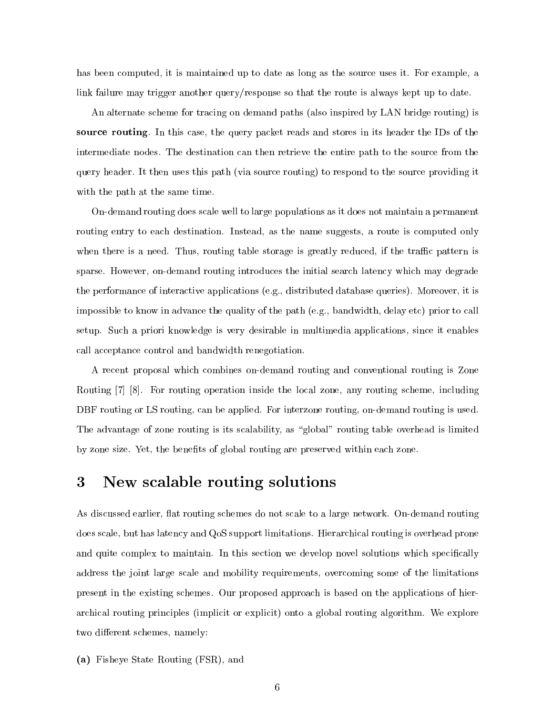has been computed, it is maintained up to date as long as the source uses it. For example, a link failure may trigger another query/response so that the route is always kept up to date.

An alternate scheme for tracing on demand paths (also inspired by LAN bridge routing) is source routing. In this case, the query packet reads and stores in its header the IDs of the intermediate nodes. The destination can then retrieve the entire path to the source from the query header. It then uses this path (via source routing) to respond to the source providing it with the path at the same time.

On-demand routing does scale well to large populations as it does not maintain a permanent routing entry to each destination. Instead, as the name suggests, a route is computed only when there is a need. Thus, routing table storage is greatly reduced, if the traffic pattern is sparse. However, on-demand routing introduces the initial search latency which may degrade the performance of interactive applications (e.g., distributed database queries). Moreover, it is impossible to know in advance the quality of the path (e.g., bandwidth, delay etc) prior to call setup. Such a priori knowledge is very desirable in multimedia applications, since it enables call acceptance control and bandwidth renegotiation.

A recent proposal which combines on-demand routing and conventional routing is Zone Routing [7] [8]. For routing operation inside the local zone, any routing scheme, including DBF routing or LS routing, can be applied. For interzone routing, on-demand routing is used. The advantage of zone routing is its scalability, as "global" routing table overhead is limited by zone size. Yet, the benets of global routing are preserved within each zone.

### 3 New scalable routing solutions

As discussed earlier, flat routing schemes do not scale to a large network. On-demand routing does scale, but has latency and QoS support limitations. Hierarchical routing is overhead prone and quite complex to maintain. In this section we develop novel solutions which specifically address the joint large scale and mobility requirements, overcoming some of the limitations present in the existing schemes. Our proposed approach is based on the applications of hierarchical routing principles (implicit or explicit) onto a global routing algorithm. We explore two different schemes, namely:

(a) Fisheye State Routing (FSR), and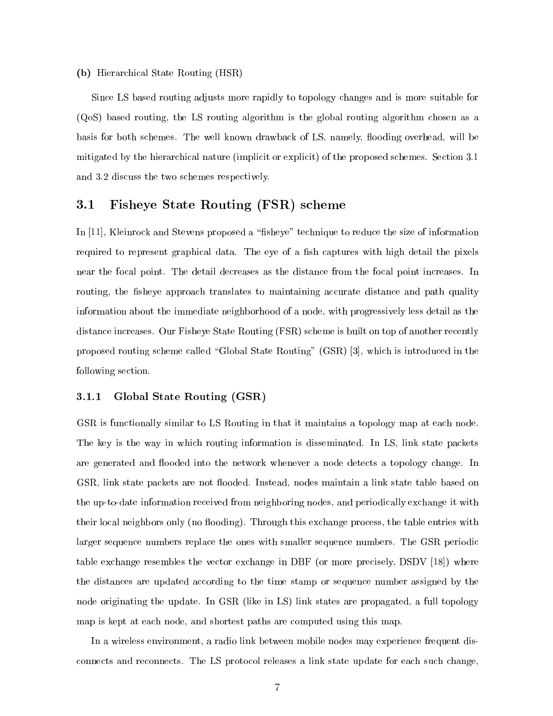## (b) Hierarchical State Routing (HSR)

Since LS based routing adjusts more rapidly to topology changes and is more suitable for (QoS) based routing, the LS routing algorithm is theglobal routing algorithm chosen as a basis for both schemes. The well known drawback of LS, namely, flooding overhead, will be mitigated by the hierarchical nature (implicit or explicit) of the proposed schemes. Section 3.1 and 3.2 discuss the two schemes respectively.

#### $3.1$ 3.1 Fisheye State Routing (FSR) scheme

In  $[11]$ , Kleinrock and Stevens proposed a "fisheye" technique to reduce the size of information required to represent graphical data. The eye of a fish captures with high detail the pixels near the focal point. The detail decreases as the distance from the focal point increases. In routing, the fisheye approach translates to maintaining accurate distance and path quality information about the immediate neighborhood of a node, with progressively less detail as the distance increases. Our Fisheye State Routing (FSR) scheme is built on top of another recently proposed routing scheme called "Global State Routing"  $(GSR)$  [3], which is introduced in the following section.

#### 3.1.1Global State Routing (GSR)

GSR is functionally similar to LS Routing in that it maintains a topology map at each node. The key is the way in which routing information is disseminated. In LS, link state packets are generated and flooded into the network whenever a node detects a topology change. In GSR, link state packets are not flooded. Instead, nodes maintain a link state table based on the up-to-date information received from neighboring nodes, and periodically exchange it with their local neighbors only (no flooding). Through this exchange process, the table entries with larger sequence numbers replace the ones with smaller sequence numbers. The GSR periodic table exchange resembles the vector exchange in DBF (or more precisely, DSDV [18]) where the distances are updated according to the time stamp or sequence number assigned by the node originating the update. In GSR (like in LS) link states are propagated, a full topology map is kept at each node, and shortest paths are computed using this map.

In a wireless environment, a radio link between mobile nodes may experience frequent disconnects and reconnects. The LS protocol releases a link state update for each such change,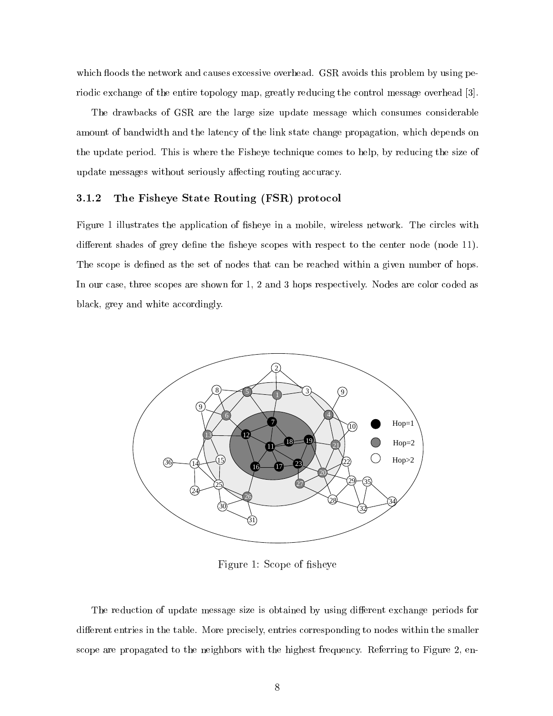which floods the network and causes excessive overhead. GSR avoids this problem by using periodic exchange of the entire topology map, greatly reducing the control message overhead [3].

The drawbacks of GSR are the large size update message which consumes considerable amount of bandwidth and the latency of the link state change propagation, which depends on the update period. This is where the Fisheye technique comes to help, by reducing the size of update messages without seriously affecting routing accuracy.

#### 3.1.2The Fisheye State Routing (FSR) protocol

Figure 1 illustrates the application of fisheye in a mobile, wireless network. The circles with different shades of grey define the fisheye scopes with respect to the center node (node 11). The scope is defined as the set of nodes that can be reached within a given number of hops. In our case, three scopes are shown for 1, 2 and 3 hops respectively. Nodes are color coded as black, grey and white accordingly.



Figure 1: Scope of fisheye

The reduction of update message size is obtained by using different exchange periods for different entries in the table. More precisely, entries corresponding to nodes within the smaller scope are propagated to the neighbors with the highest frequency. Referring to Figure 2, en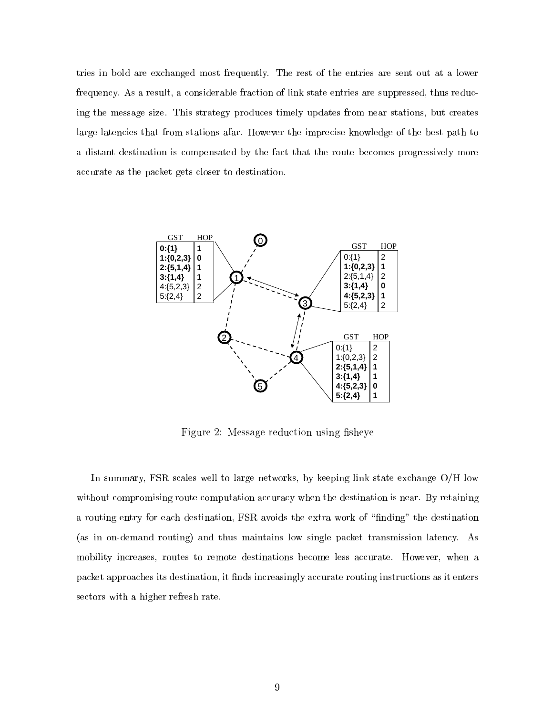tries in bold are exchanged most frequently. The rest of the entries are sent out at a lower frequency. As a result, a considerable fraction of link state entries are suppressed, thus reducing the message size. This strategy produces timely updates from near stations, but creates large latencies that from stations afar. However the imprecise knowledge of the best path to a distant destination is compensated by the fact that the route becomes progressively more accurate as the packet gets closer to destination.



Figure 2: Message reduction using fisheye

In summary, FSR scales well to large networks, by keeping link state exchange O/H low without compromising route computation accuracy when the destination is near. By retaining a routing entry for each destination, FSR avoids the extra work of "finding" the destination (as in on-demand routing) and thus maintains low single packet transmission latency. As mobility increases, routes to remote destinations become less accurate. However, when a packet approaches its destination, it finds increasingly accurate routing instructions as it enters sectors with a higher refresh rate.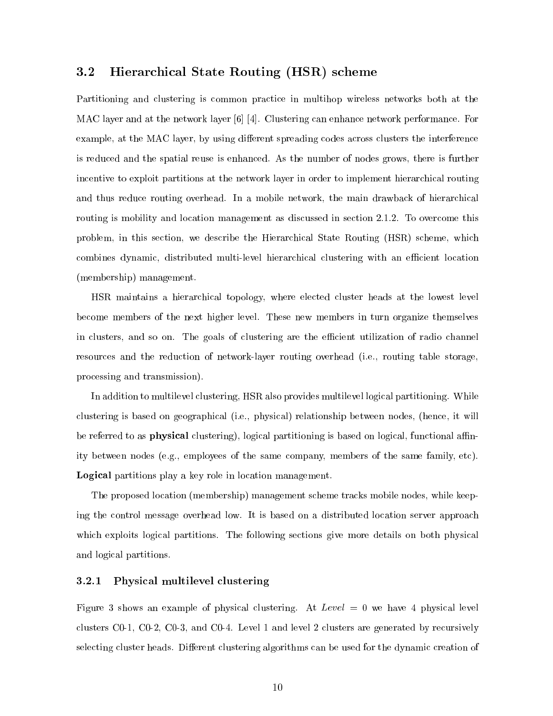# 3.2 Hierarchical State Routing (HSR) scheme

Partitioning and clustering is common practice in multihop wireless networks both at the MAC layer and at the network layer [6] [4]. Clustering can enhance network performance. For example, at the MAC layer, by using different spreading codes across clusters the interference is reduced and the spatial reuse is enhanced. As the number of nodes grows, there is further incentive to exploit partitions at the network layer in order to implement hierarchical routing and thus reduce routing overhead. In a mobile network, the main drawback of hierarchical routing is mobility and location management as discussed in section 2.1.2. To overcome this problem, in this section, we describe the Hierarchical State Routing (HSR) scheme, which combines dynamic, distributed multi-level hierarchical clustering with an efficient location (membership) management.

HSR maintains a hierarchical topology, where elected cluster heads at the lowest level become members of the next higher level. These new members in turn organize themselves in clusters, and so on. The goals of clustering are the efficient utilization of radio channel resources and the reduction of network-layer routing overhead (i.e., routing table storage, processing and transmission).

In addition to multilevel clustering, HSR also provides multilevel logical partitioning. While clustering is based on geographical (i.e., physical) relationship between nodes, (hence, it will be referred to as **physical** clustering), logical partitioning is based on logical, functional affinity between nodes (e.g., employees of the same company, members of the same family, etc). Logical partitions play a key role in location management.

The proposed location (membership) management scheme tracks mobile nodes, while keeping the control message overhead low.It is based on a distributed location server approach which exploits logical partitions. The following sections give more details on both physical and logical partitions.

#### 3.2.1Physical multilevel clustering

Figure 3 shows an example of physical clustering. At Level  $= 0$  we have 4 physical level clusters C0-1, C0-2, C0-3, and C0-4. Level 1 and level 2 clusters are generated by recursively selecting cluster heads. Different clustering algorithms can be used for the dynamic creation of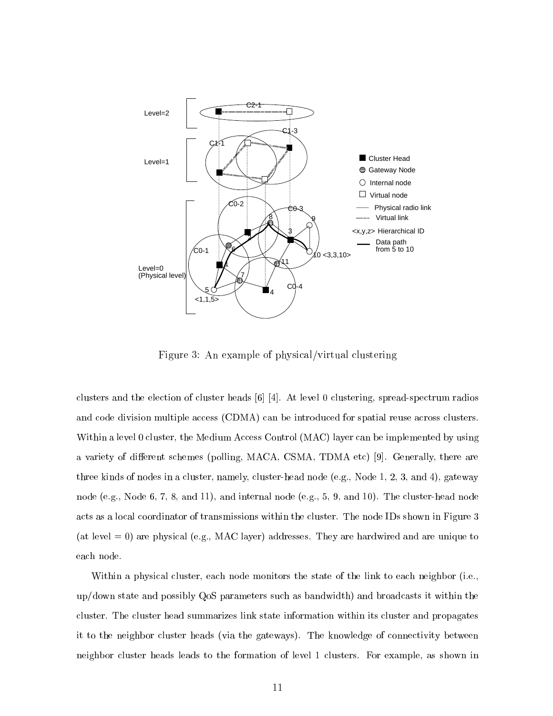

Figure 3: An example of physical/virtual clustering

clusters and the election of cluster heads [6] [4]. At level 0 clustering, spread-spectrum radios and code division multiple access (CDMA) can be introduced for spatial reuse across clusters. Within a level 0 cluster, the Medium Access Control (MAC) layer can be implemented by using a variety of different schemes (polling, MACA, CSMA, TDMA etc) [9]. Generally, there are three kinds of nodes in a cluster, namely, cluster-head node (e.g., Node 1, 2, 3, and 4), gateway node (e.g., Node 6, 7, 8, and 11), and internal node (e.g., 5, 9, and 10). The cluster-head node acts as a local coordinator of transmissions within the cluster. The node IDs shown in Figure 3 (at level = 0) are physical (e.g., MAC layer) addresses. They are hardwired and are unique to each node.

Within a physical cluster, each node monitors the state of the link to each neighbor (i.e., up/down state and possibly QoS parameters such as bandwidth) and broadcasts it within the cluster. The cluster head summarizes link state information within its cluster and propagates it to the neighbor cluster heads (via the gateways). The knowledge of connectivity between neighbor cluster heads leads to the formation of level 1 clusters. For example, as shown in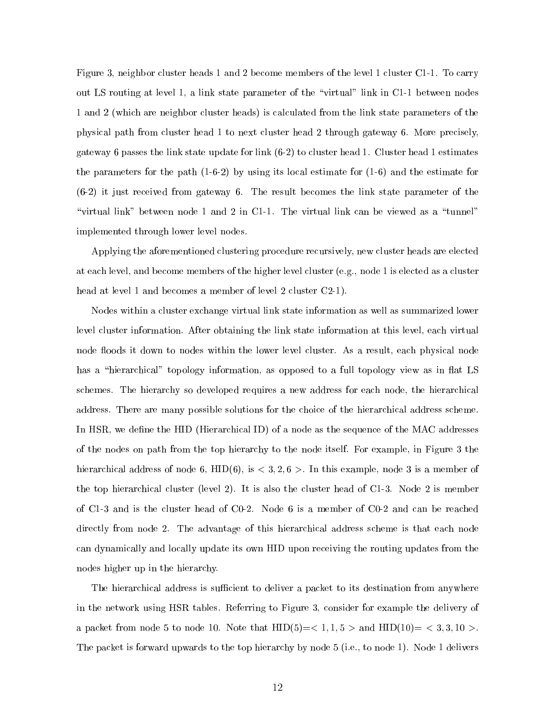Figure 3, neighbor cluster heads 1 and 2 become members of the level 1 cluster C1-1. To carry out LS routing at level 1, a link state parameter of the \virtual" link in C1-1 between nodes 1 and 2 (which are neighbor cluster heads) is calculated from the link state parameters of the physical path from cluster head 1 to next cluster head 2 through gateway 6. More precisely, gateway 6 passes the link state update for link (6-2) to cluster head 1. Cluster head 1 estimates the parameters for the path (1-6-2) by using its local estimate for (1-6) and the estimate for (6-2) it just received from gateway 6. The result becomes the link state parameter of the "virtual link" between node 1 and 2 in C1-1. The virtual link can be viewed as a "tunnel" implemented through lower level nodes.

Applying the aforementioned clustering procedure recursively, new cluster heads are elected at each level, and become members of the higher level cluster (e.g., node 1 is elected as a cluster head at level 1 and becomes a member of level 2 cluster C2-1).

Nodes within a cluster exchange virtual link state information as well as summarized lower level cluster information. After obtaining the link state information at this level, each virtual node floods it down to nodes within the lower level cluster. As a result, each physical node has a "hierarchical" topology information, as opposed to a full topology view as in flat LS schemes. The hierarchy so developed requires a new address for each node, the hierarchical address. There are many possible solutions for the choice of the hierarchical address scheme. In HSR, we define the HID (Hierarchical ID) of a node as the sequence of the MAC addresses of the nodes on path from the top hierarchy to the node itself. For example, in Figure 3 the hierarchical address of node 6, HID(6), is  $\lt 3, 2, 6 \gt \ldots$  In this example, node 3 is a member of the top hierarchical cluster (level 2). It is also the cluster head of C1-3. Node 2 is member of C1-3 and is the cluster head of C0-2. Node 6 is a member of C0-2 and can be reached directly from node 2. The advantage of this hierarchical address scheme is that each node can dynamically and locally update its own HID upon receiving the routing updates from the nodes higher up in the hierarchy.

The hierarchical address is sufficient to deliver a packet to its destination from anywhere in the network using HSR tables. Referring to Figure 3, consider for example the delivery of a packet from node 5 to node 10. Note that  $\text{HID}(5)=<1, 1, 5>$  and  $\text{HID}(10)=<3, 3, 10>.$ The packet is forward upwards to the top hierarchy by node 5 (i.e., to node 1). Node 1 delivers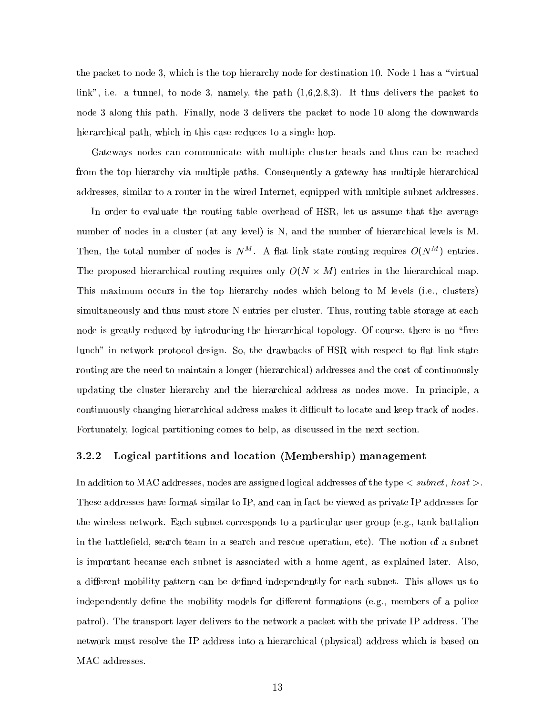the packet to node 3, which is the top hierarchy node for destination 10. Node 1 has a "virtual" link", i.e. a tunnel, to node 3, namely, the path  $(1,6,2,8,3)$ . It thus delivers the packet to node 3 along this path. Finally, node 3 delivers the packet to node 10 along the downwards hierarchical path, which in this case reduces to a single hop.

Gateways nodes can communicate with multiple cluster heads and thus can be reached from the top hierarchy via multiple paths. Consequently a gateway has multiple hierarchical addresses, similar to a router in the wired Internet, equipped with multiple subnet addresses.

In order to evaluate the routing table overhead of HSR, let us assume that the average number of nodes in a cluster (at any level) is N, and the number of hierarchical levels is M. Then, the total number of nodes is  $N^M$ . A flat link state routing requires  $O(N^M)$  entries. The proposed hierarchical routing requires only O(N - M) entries in the hierarchical map. This maximum occurs in the top hierarchy nodes which belong to M levels (i.e., clusters) simultaneously and thus must store N entries per cluster. Thus, routing table storage at each node is greatly reduced by introducing the hierarchical topology. Of course, there is no "free lunch" in network protocol design. So, the drawbacks of HSR with respect to flat link state routing are the need to maintain a longer (hierarchical) addresses and the cost of continuously updating the cluster hierarchy and the hierarchical address as nodes move. In principle, a continuously changing hierarchical address makes it difficult to locate and keep track of nodes. Fortunately, logical partitioning comes to help, as discussed in the next section.

#### 3.2.2Logical partitions and location (Membership) management

In addition to MAC addresses, nodes are assigned logical addresses of the type  $\lt$  subnet, host  $\gt$ . These addresses have format similar to IP, and can in fact be viewed as private IP addresses for the wireless network. Each subnet corresponds to a particular user group (e.g., tank battalion in the battlefield, search team in a search and rescue operation, etc). The notion of a subnet is important because each subnet is associated with a home agent, as explained later. Also, a different mobility pattern can be defined independently for each subnet. This allows us to independently define the mobility models for different formations (e.g., members of a police patrol). The transport layer delivers to the network a packet with the private IP address. The network must resolve the IP address into a hierarchical (physical) address which is based on MAC addresses.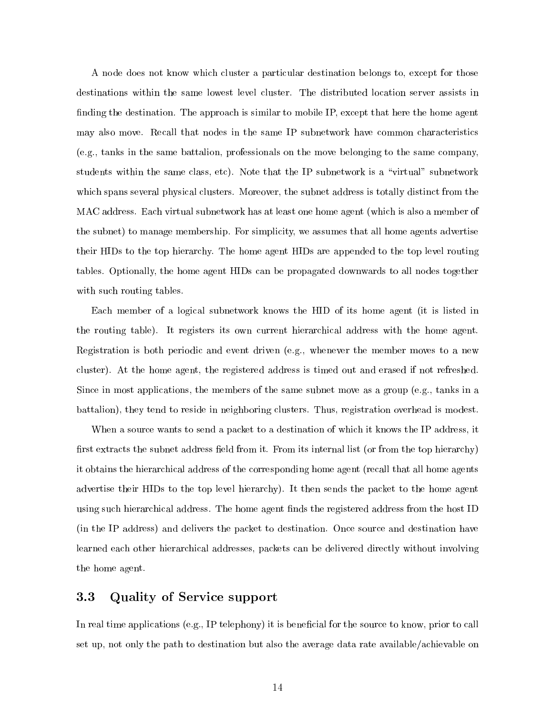A node does not know which cluster a particular destination belongs to, except for those destinations within the same lowest level cluster. The distributed location server assists in finding the destination. The approach is similar to mobile IP, except that here the home agent may also move. Recall that nodes in the same IP subnetwork have common characteristics (e.g., tanks in the same battalion, professionals on the move belonging to the same company, students within the same class, etc). Note that the IP subnetwork is a "virtual" subnetwork which spans several physical clusters. Moreover, the subnet address is totally distinct from the MAC address. Each virtual subnetwork has at least one home agent (which is also a member of the subnet) to manage membership. For simplicity, we assumes that all home agents advertise their HIDs to the top hierarchy. The home agent HIDs are appended to the top level routing tables. Optionally, the home agent HIDs can be propagated downwards to all nodes together with such routing tables.

Each member of a logical subnetwork knows the HID of its home agent (it is listed in the routing table). It registers its own current hierarchical address with the home agent. Registration is both periodic and event driven (e.g., whenever the member moves to a new cluster). At the home agent, the registered address is timed out and erased if not refreshed. Since in most applications, the members of the same subnet move as a group (e.g., tanks in a battalion), they tend to reside in neighboring clusters. Thus, registration overhead is modest.

When a source wants to send a packet to a destination of which it knows the IP address, it first extracts the subnet address field from it. From its internal list (or from the top hierarchy) it obtains the hierarchical address of the corresponding home agent (recall that all home agents advertise their HIDs to the top level hierarchy). It then sends the packet to the home agent using such hierarchical address. The home agent finds the registered address from the host ID (in the IP address) and delivers the packet to destination. Once source and destination have learned each other hierarchical addresses, packets can be delivered directly without involving the home agent.

# 3.3 Quality of Service support

In real time applications (e.g., IP telephony) it is beneficial for the source to know, prior to call set up, not only the path to destination but also the average data rate available/achievable on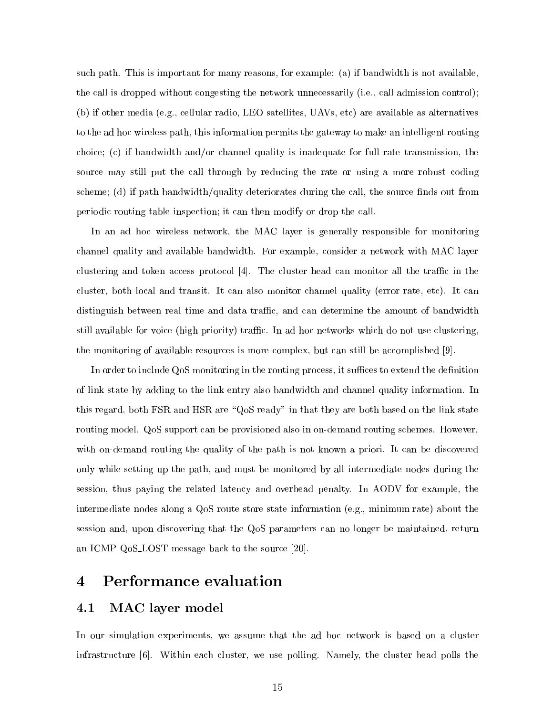such path. This is important for many reasons, for example: (a) if bandwidth is not available, the call is dropped without congesting the network unnecessarily (i.e., call admission control); (b) if other media (e.g., cellular radio, LEO satellites, UAVs, etc) are available as alternatives to the ad hoc wireless path, this information permits the gateway to make an intelligent routing choice; (c) if bandwidth and/or channel quality is inadequate for full rate transmission, the source may still put the call through by reducing the rate or using a more robust coding scheme; (d) if path bandwidth/quality deteriorates during the call, the source finds out from periodic routing table inspection; it can then modify or drop the call.

In an ad hoc wireless network, the MAC layer is generally responsible for monitoring channel quality and available bandwidth. For example, consider a network with MAC layer clustering and token access protocol  $[4]$ . The cluster head can monitor all the traffic in the cluster, both local and transit. It can also monitor channel quality (error rate, etc). It can distinguish between real time and data traffic, and can determine the amount of bandwidth still available for voice (high priority) traffic. In ad hoc networks which do not use clustering, the monitoring of available resources is more complex, but can still be accomplished [9].

In order to include QoS monitoring in the routing process, it suffices to extend the definition of link state by adding to the link entry also bandwidth and channel quality information. In this regard, both FSR and HSR are "QoS ready" in that they are both based on the link state routing model. QoS support can be provisioned also in on-demand routing schemes. However, with on-demand routing the quality of the path is not known a priori. It can be discovered only while setting up the path, and must be monitored by all intermediate nodes during the session, thus paying the related latency and overhead penalty. In AODV for example, the intermediate nodes along a QoS route store state information (e.g., minimum rate) about the session and, upon discovering that the QoS parameters can no longer be maintained, return an ICMP QoS LOST message back to the source [20].

# 4 Performance evaluation

# 4.1 MAC layer model

In our simulation experiments, we assume that the ad hoc network is based on a cluster infrastructure [6]. Within each cluster, we use polling. Namely, the cluster head polls the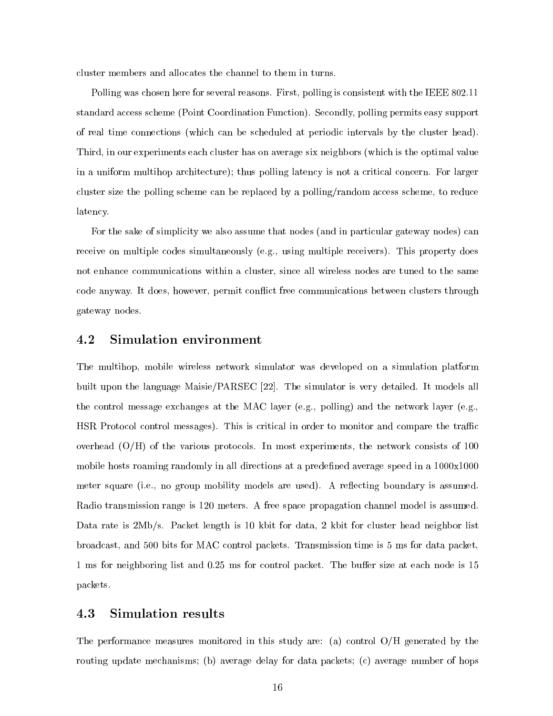cluster members and allocates the channel to them in turns.

Polling was chosen here for several reasons. First, polling is consistent with the IEEE 802.11 standard access scheme (Point Coordination Function). Secondly, polling permits easy support of real time connections (which can be scheduled at periodic intervals by the cluster head). Third, in our experiments each cluster has on average six neighbors (which is the optimal value in a uniform multihop architecture); thus polling latency is not a critical concern. For larger cluster size the polling scheme can be replaced by a polling/random access scheme, to reduce latency.

For the sake of simplicity we also assume that nodes (and in particular gateway nodes) can receive on multiple codes simultaneously (e.g., using multiple receivers). This property does not enhance communications within a cluster, since all wireless nodes are tuned to the same code anyway. It does, however, permit con
ict free communications between clusters through gateway nodes.

## 4.2 Simulation environment

The multihop, mobile wireless network simulator was developed on a simulation platform built upon the language Maisie/PARSEC [22]. The simulator is very detailed. It models all the control message exchanges at the MAC layer (e.g., polling) and the network layer (e.g., HSR Protocol control messages). This is critical in order to monitor and compare the traffic overhead  $(O/H)$  of the various protocols. In most experiments, the network consists of 100 mobile hosts roaming randomly in all directions at a predefined average speed in a  $1000x1000$ meter square (i.e., no group mobility models are used). A reflecting boundary is assumed. Radio transmission range is 120 meters. A free space propagation channel model is assumed. Data rate is 2Mb/s. Packet length is 10 kbit for data, 2 kbit for cluster head neighbor list broadcast, and 500 bits for MAC control packets. Transmission time is 5 ms for data packet, 1 ms for neighboring list and 0.25 ms for control packet. The buffer size at each node is 15 packets.

#### 4.3 Simulation results

The performance measures monitored in this study are: (a) control O/H generated by the routing update mechanisms; (b) average delay for data packets; (c) average number of hops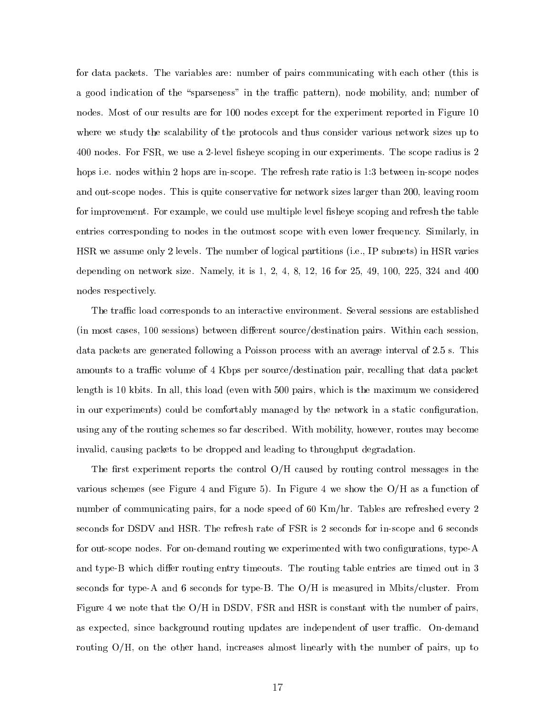for data packets. The variables are: number of pairs communicating with each other (this is a good indication of the "sparseness" in the traffic pattern), node mobility, and; number of nodes. Most of our results are for 100 nodes except for the experiment reported in Figure 10 where we study the scalability of the protocols and thus consider various network sizes up to 400 nodes. For FSR, we use a 2-level fisheve scoping in our experiments. The scope radius is 2 hops i.e. nodes within 2 hops are in-scope. The refresh rate ratio is 1:3 between in-scope nodes and out-scope nodes. This is quite conservative for network sizes larger than 200, leaving room for improvement. For example, we could use multiple level fisheye scoping and refresh the table entries corresponding to nodes in the outmost scope with even lower frequency. Similarly, in HSR we assume only 2 levels. The number of logical partitions (i.e., IP subnets) in HSR varies depending on network size. Namely, it is 1, 2, 4, 8, 12, 16 for 25, 49, 100, 225, 324 and 400 nodes respectively.

The traffic load corresponds to an interactive environment. Several sessions are established (in most cases, 100 sessions) between different source/destination pairs. Within each session, data packets are generated following a Poisson process with an average interval of 2.5 s. This amounts to a traffic volume of 4 Kbps per source/destination pair, recalling that data packet length is 10 kbits. In all, this load (even with 500 pairs, which is the maximum we considered in our experiments) could be comfortably managed by the network in a static configuration, using any of the routing schemes so far described. With mobility, however, routes may become invalid, causing packets to be dropped and leading to throughput degradation.

The first experiment reports the control  $O/H$  caused by routing control messages in the various schemes (see Figure 4 and Figure 5). In Figure 4 we show the O/H as a function of number of communicating pairs, for a node speed of 60 Km/hr. Tables are refreshed every 2 seconds for DSDV and HSR. The refresh rate of FSR is 2 seconds for in-scope and 6 seconds for out-scope nodes. For on-demand routing we experimented with two configurations, type-A and type-B which differ routing entry timeouts. The routing table entries are timed out in 3 seconds for type-A and 6 seconds for type-B. The O/H is measured in Mbits/cluster. From Figure 4 we note that the O/H in DSDV, FSR and HSR is constant with the number of pairs, as expected, since background routing updates are independent of user traffic. On-demand routing O/H, on the other hand, increases almost linearly with the number of pairs, up to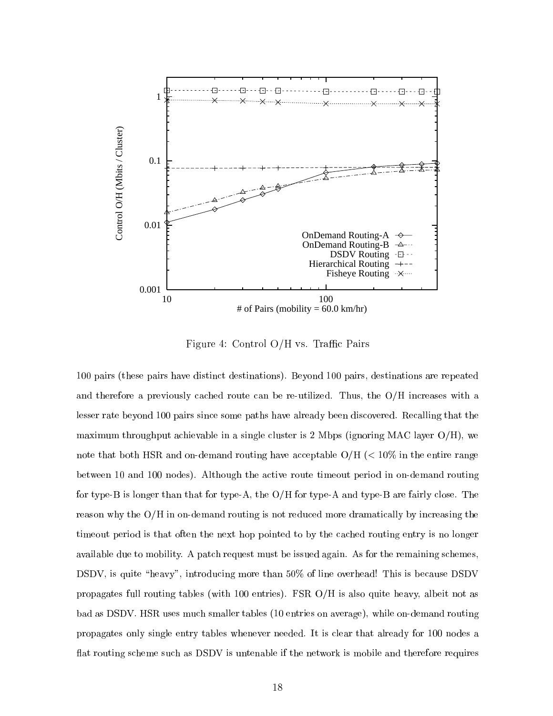

Figure 4: Control  $O/H$  vs. Traffic Pairs

100 pairs (these pairs have distinct destinations). Beyond 100 pairs, destinations are repeated and therefore a previously cached route can be re-utilized. Thus, the O/H increases with a lesser rate beyond 100 pairs since some paths have already been discovered. Recalling that the maximum throughput achievable in a single cluster is 2 Mbps (ignoring MAC layer  $O/H$ ), we note that both HSR and on-demand routing have acceptable  $O/H$  ( $< 10\%$  in the entire range between 10 and 100 nodes). Although the active route timeout period in on-demand routing for type-B is longer than that for type-A, the O/H for type-A and type-B are fairly close. The reason why the O/H in on-demand routing is not reduced more dramatically by increasing the timeout period is that often the next hop pointed to by the cached routing entry is no longer available due to mobility. A patch request must be issued again. As for the remaining schemes, DSDV, is quite "heavy", introducing more than  $50\%$  of line overhead! This is because DSDV propagates full routing tables (with 100 entries). FSR O/H is also quite heavy, albeit not as bad as DSDV. HSR uses much smaller tables (10 entries on average), while on-demand routing propagates only single entry tables whenever needed. It is clear that already for 100 nodes a at routing scheme such as DSDV is untenable if the network is mobile and therefore requires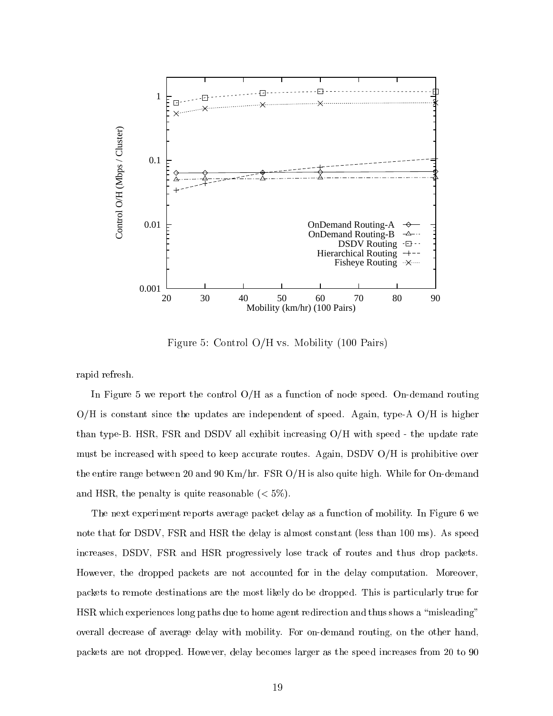

Figure 5: Control O/H vs. Mobility (100 Pairs)

rapid refresh.

In Figure 5 we report the control O/H as a function of node speed. On-demand routing  $O/H$  is constant since the updates are independent of speed. Again, type-A  $O/H$  is higher than type-B. HSR, FSR and DSDV all exhibit increasing O/H with speed - the update rate must be increased with speed to keep accurate routes. Again, DSDV O/H is prohibitive over the entire range between 20 and 90 Km/hr. FSR O/H is also quite high. While for On-demand and HSR, the penalty is quite reasonable  $(< 5\%$ ).

The next experiment reports average packet delay as a function of mobility. In Figure 6 we note that for DSDV, FSR and HSR the delay is almost constant (less than 100 ms). As speed increases, DSDV, FSR and HSR progressively lose track of routes and thus drop packets. However, the dropped packets are not accounted for in the delay computation. Moreover, packets to remote destinations are the most likely do be dropped. This is particularly true for HSR which experiences long paths due to home agent redirection and thus shows a "misleading" overall decrease of average delay with mobility. For on-demand routing, on the other hand, packets are not dropped. However, delay becomes larger as the speed increases from 20 to 90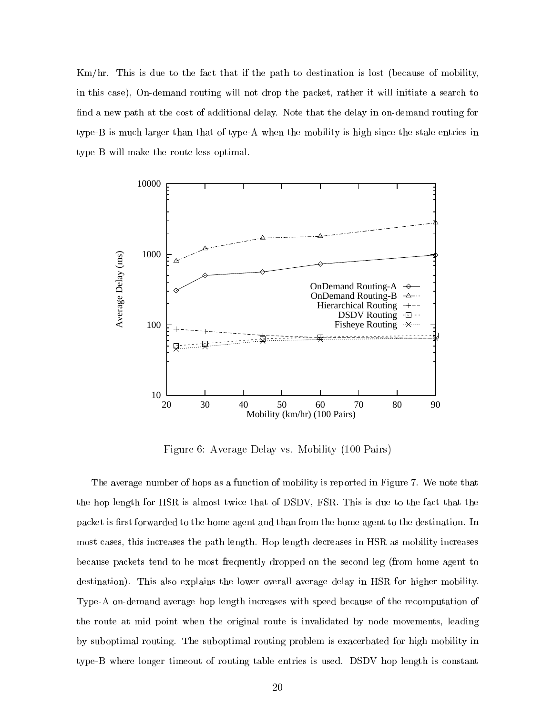Km/hr. This is due to the fact that if the path to destination is lost (because of mobility, in this case), On-demand routing will not drop the packet, rather it will initiate a search to find a new path at the cost of additional delay. Note that the delay in on-demand routing for type-B is much larger than that of type-A when the mobility is high since the stale entries in type-B will make the route less optimal.



Figure 6: Average Delay vs. Mobility (100 Pairs)

The average number of hops as a function of mobility is reported in Figure 7. We note that the hop length for HSR is almost twice that of DSDV, FSR. This is due to the fact that the packet is first forwarded to the home agent and than from the home agent to the destination. In most cases, this increases the path length. Hop length decreases in HSR as mobility increases because packets tend to be most frequently dropped on the second leg (from home agent to destination). This also explains the lower overall average delay in HSR for higher mobility. Type-A on-demand average hop length increases with speed because of the recomputation of the route at mid point when the original route is invalidated by node movements, leading by suboptimal routing. The suboptimal routing problem is exacerbated for high mobility in type-B where longer timeout of routing table entries is used. DSDV hop length is constant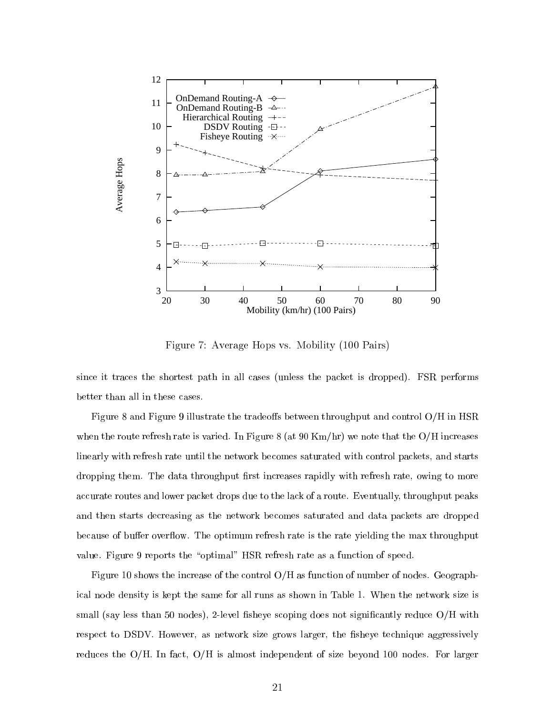

Figure 7: Average Hops vs. Mobility (100 Pairs)

since it traces the shortest path in all cases (unless the packet is dropped). FSR performs better than all in these cases.

Figure 8 and Figure 9 illustrate the tradeoffs between throughput and control  $O/H$  in HSR when the route refresh rate is varied. In Figure 8 (at  $90 \text{ Km/hr}$ ) we note that the O/H increases linearly with refresh rate until the network becomes saturated with control packets, and starts dropping them. The data throughput first increases rapidly with refresh rate, owing to more accurate routes and lower packet drops due to the lack of a route. Eventually, throughput peaks and then starts decreasing as the network becomes saturated and data packets are dropped because of buffer overflow. The optimum refresh rate is the rate yielding the max throughput value. Figure 9 reports the "optimal" HSR refresh rate as a function of speed.

Figure 10 shows the increase of the control O/H as function of number of nodes. Geographical node density is kept the same for all runs as shown in Table 1. When the network size is small (say less than 50 nodes), 2-level fisheye scoping does not significantly reduce  $O/H$  with respect to DSDV. However, as network size grows larger, the fisheye technique aggressively reduces the O/H. In fact, O/H is almost independent of size beyond 100 nodes. For larger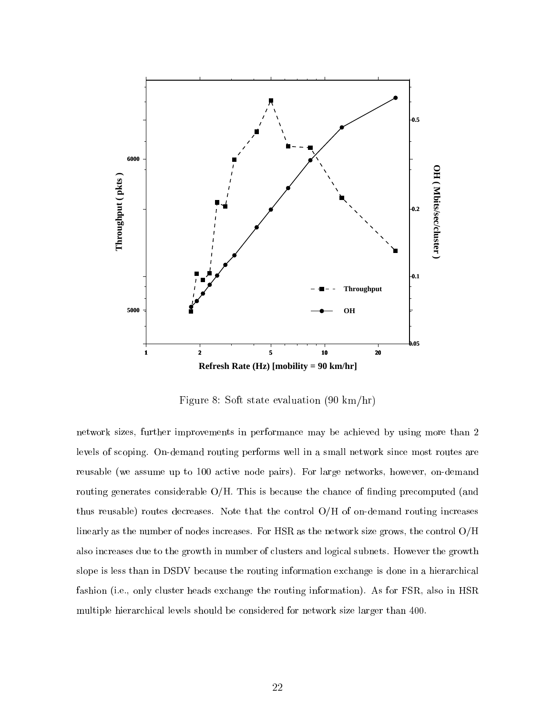

Figure 8: Soft state evaluation (90 km/hr)

network sizes, further improvements in performance may be achieved by using more than 2 levels of scoping. On-demand routing performs well in a small network since most routes are reusable (we assume up to 100 active node pairs). For large networks, however, on-demand routing generates considerable  $O/H$ . This is because the chance of finding precomputed (and thus reusable) routes decreases. Note that the control  $O/H$  of on-demand routing increases linearly as the number of nodes increases. For HSR as the network size grows, the control O/H also increases due to the growth in number of clusters and logical subnets. However the growth slope is less than in DSDV because the routing information exchange is done in a hierarchical fashion (i.e., only cluster heads exchange the routing information). As for FSR, also in HSR multiple hierarchical levels should be considered for network size larger than 400.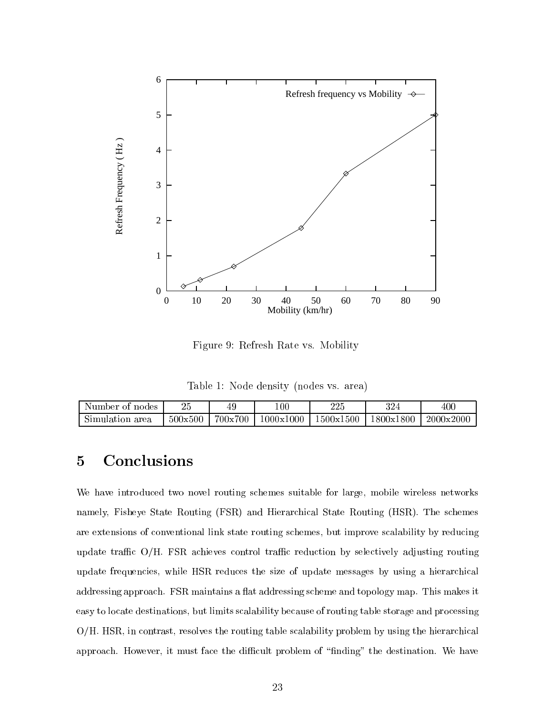

Figure 9: Refresh Rate vs. Mobility

Table 1: Node density (nodes vs. area)

| umber:<br>nodes<br>ΟĪ | ∩٣<br>∠⊾ | 4 C<br>Ξ÷ | $100\,$ | ດດະ<br>∠∠∪<br>-- - | 99 <sub>4</sub><br>-244 | 400   |
|-----------------------|----------|-----------|---------|--------------------|-------------------------|-------|
| area                  | 500x500  | $-700$    | 1000    | 1500               | 800x                    | 2000  |
| imulation             |          | 700x.     | 000x    | $1500x_1$          | :1800                   | 2000x |

### $\overline{5}$ **Conclusions**

We have introduced two novel routing schemes suitable for large, mobile wireless networks namely, Fisheye State Routing (FSR) and Hierarchical State Routing (HSR). The schemes are extensions of conventional link state routing schemes, but improve scalability by reducing update traffic  $O/H$ . FSR achieves control traffic reduction by selectively adjusting routing update frequencies, while HSR reduces the size of update messages by using a hierarchical addressing approach. FSR maintains a flat addressing scheme and topology map. This makes it easy to locate destinations, but limits scalability because of routing table storage and processing O/H. HSR, in contrast, resolves the routing table scalability problem by using the hierarchical approach. However, it must face the difficult problem of "finding" the destination. We have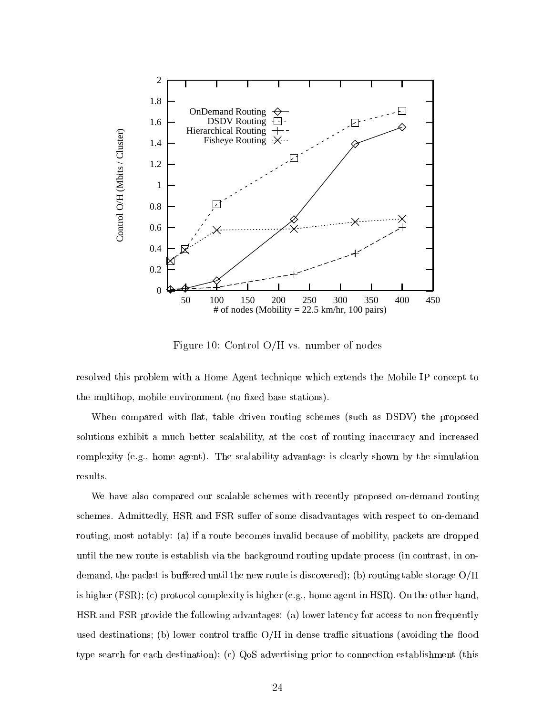

Figure 10: Control O/H vs. number of nodes

resolved this problem with a Home Agent technique which extends the Mobile IP concept to the multihop, mobile environment (no fixed base stations).

When compared with flat, table driven routing schemes (such as DSDV) the proposed solutions exhibit a much better scalability, at the cost of routing inaccuracy and increased complexity (e.g., home agent). The scalability advantage is clearly shown by the simulation results.

We have also compared our scalable schemes with recently proposed on-demand routing schemes. Admittedly, HSR and FSR suffer of some disadvantages with respect to on-demand routing, most notably: (a) if a route becomes invalid because of mobility, packets are dropped until the new route is establish via the background routing update process (in contrast, in ondemand, the packet is buffered until the new route is discovered); (b) routing table storage  $O/H$ is higher (FSR); (c) protocol complexity is higher (e.g., home agent in HSR). On the other hand, HSR and FSR provide the following advantages: (a) lower latency for access to non frequently used destinations; (b) lower control traffic  $O/H$  in dense traffic situations (avoiding the flood type search for each destination); (c) QoS advertising prior to connection establishment (this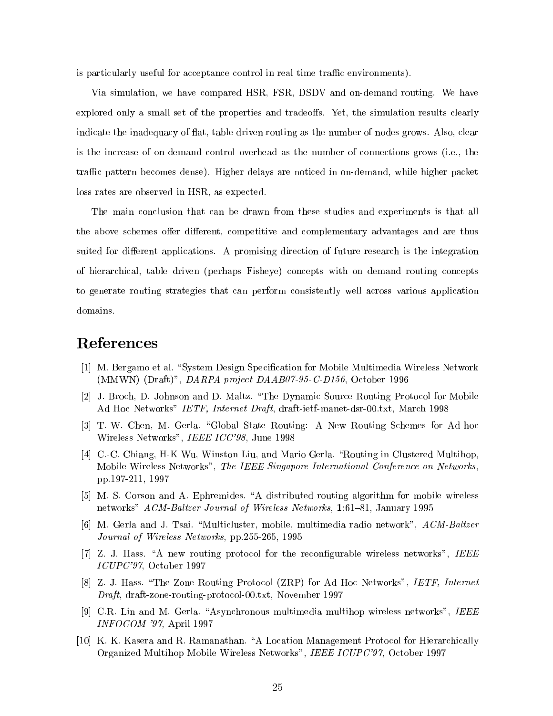is particularly useful for acceptance control in real time traffic environments).

Via simulation, we have compared HSR, FSR, DSDV and on-demand routing. We have explored only a small set of the properties and tradeoffs. Yet, the simulation results clearly indicate the inadequacy of flat, table driven routing as the number of nodes grows. Also, clear is the increase of on-demand control overhead as the number of connections grows (i.e., the traffic pattern becomes dense). Higher delays are noticed in on-demand, while higher packet loss rates are observed in HSR, as expected.

The main conclusion that can be drawn from these studies and experiments is that all the above schemes offer different, competitive and complementary advantages and are thus suited for different applications. A promising direction of future research is the integration of hierarchical, table driven (perhaps Fisheye) concepts with on demand routing concepts to generate routing strategies that can perform consistently well across various application domains.

# References

- [1] M. Bergamo et al. "System Design Specification for Mobile Multimedia Wireless Network (MMWN) (Draft)", DARPA project DAAB07-95-C-D156, October 1996
- [2] J. Broch, D. Johnson and D. Maltz. \The Dynamic Source Routing Protocol for Mobile Ad Hoc Networks" IETF, Internet Draft, draft-ietf-manet-dsr-00.txt, March 1998
- [3] T.-W. Chen, M. Gerla. "Global State Routing: A New Routing Schemes for Ad-hoc Wireless Networks", IEEE ICC'98, June 1998
- [4] C.-C. Chiang, H-K Wu, Winston Liu, and Mario Gerla. "Routing in Clustered Multihop, Mobile Wireless Networks", The IEEE Singapore International Conference on Networks, pp.197-211, 1997
- [5] M. S. Corson and A. Ephremides. "A distributed routing algorithm for mobile wireless networks" ACM-Baltzer Journal of Wireless Networks, 1:61-81, January 1995
- [6] M. Gerla and J. Tsai. "Multicluster, mobile, multimedia radio network", ACM-Baltzer Journal of Wireless Networks, pp.255-265, 1995
- [7] Z. J. Hass. "A new routing protocol for the reconfigurable wireless networks", IEEE ICUPC'97, October 1997
- [8] Z. J. Hass. "The Zone Routing Protocol (ZRP) for Ad Hoc Networks", IETF, Internet Draft, draft-zone-routing-protocol-00.txt, November 1997
- [9] C.R. Lin and M. Gerla. "Asynchronous multimedia multihop wireless networks", IEEE INFOCOM '97, April 1997
- [10] K. K. Kasera and R. Ramanathan. \A Location Management Protocol for Hierarchically Organized Multihop Mobile Wireless Networks", IEEE ICUPC'97, October 1997